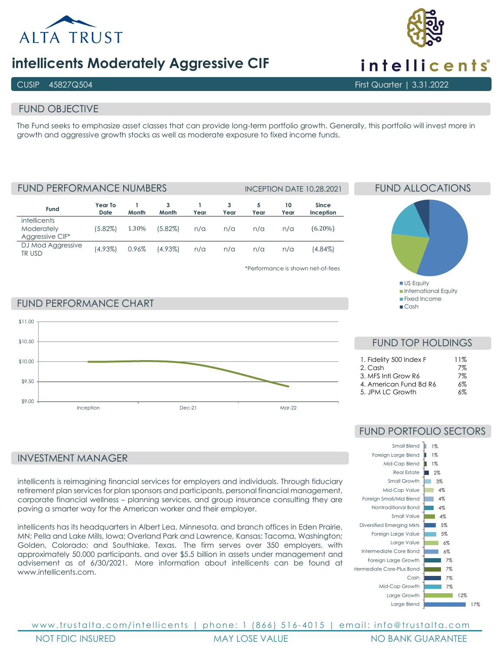

## **intellicents Moderately Aggressive CIF**

### FUND OBJECTIVE

The Fund seeks to emphasize asset classes that can provide long-term portfolio growth. Generally, this portfolio will invest more in growth and aggressive growth stocks as well as moderate exposure to fixed income funds.

**Fund Year To Date 1 Month 3 Month 1 Year 3 Year 5 Year 10 Year Inception intellicents Moderately** Aggressive CIF\* (5.82%) 1.30% (5.82%) n/a n/a n/a n/a (6.20%) DJ Mod Aggressive FUND PERFORMANCE NUMBERS INCEPTION DATE 10.28.2021

TR USD (4.93%) 0.96% (4.93%) n/a n/a n/a n/a (4.84%)

\*Performance is shown net-of-fees

**Since** 

### **US Equity International Equity Fixed Income**  $C<sub>cosh</sub>$

FUND ALLOCATIONS

FUND PERFORMANCE CHART



### INVESTMENT MANAGER

intellicents is reimagining financial services for employers and individuals. Through fiduciary retirement plan services for plan sponsors and participants, personal financial management, corporate financial wellness – planning services, and group insurance consulting they are paving a smarter way for the American worker and their employer.

intellicents has its headquarters in Albert Lea, Minnesota, and branch offices in Eden Prairie, MN; Pella and Lake Mills, Iowa; Overland Park and Lawrence, Kansas; Tacoma, Washington; Golden, Colorado; and Southlake, Texas. The firm serves over 350 employers, with approximately 50,000 participants, and over \$5.5 billion in assets under management and advisement as of 6/30/2021. More information about intellicents can be found at [www.intellicents.com.](https://nam02.safelinks.protection.outlook.com/?url=http%3A%2F%2Fwww.intellicents.com%2F&data=04%7C01%7Cldrost%40trustalta.com%7C64143621632c436c80a908d994bef4e3%7Cb9ee5cab444743df8ae7848331cbe44f%7C0%7C0%7C637704370132112765%7CUnknown%7CTWFpbGZsb3d8eyJWIjoiMC4wLjAwMDAiLCJQIjoiV2luMzIiLCJBTiI6Ik1haWwiLCJXVCI6Mn0%3D%7C1000&sdata=ixFoO0gafYZG6wKaNB2%2FP8VTzpX9Y%2BOH4nuegW9idSA%3D&reserved=0)

### FUND PORTFOLIO SECTORS

FUND TOP HOLDINGS

1. Fidelity 500 Index F 11% 2. Cash 7% 3. MFS Intl Grow R6 7%<br>4. American Fund Bd R6 6% 4. American Fund Bd R6

5. JPM LC Growth 6%





# *intellicents*<sup>®</sup>

CUSIP 45827Q504 First Quarter | 3.31.2022

www.trustalta.com/ intellicents | phone: 1 (866) 516 - 4015 | email: info@trustalta.com NOT FDIC INSURED MAY LOSE VALUE NO BANK GUARANTEE